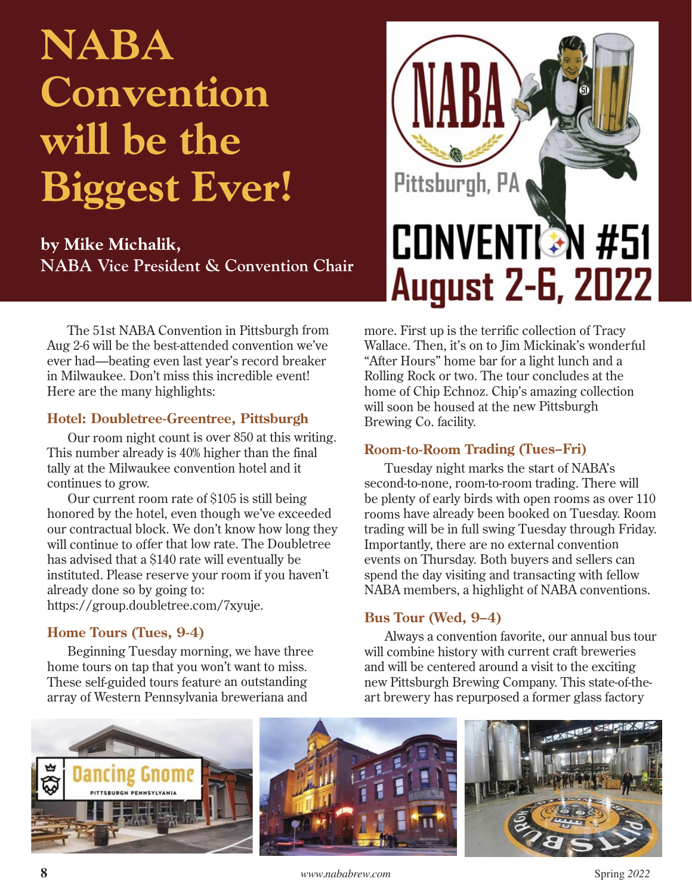# **NABA Convention will be the Biggest Ever!**

**by Mike Michalik, NABA Vice President & Convention Chair**

The 51st NABA Convention in Pittsburgh from Aug 2-6 will be the best-attended convention we've ever had—beating even last year's record breaker in Milwaukee. Don't miss this incredible event! Here are the many highlights:

#### **Hotel: Doubletree-Greentree, Pittsburgh**

Our room night count is over 850 at this writing. This number already is 40% higher than the final tally at the Milwaukee convention hotel and it continues to grow.

Our current room rate of \$105 is still being honored by the hotel, even though we've exceeded our contractual block. We don't know how long they will continue to offer that low rate. The Doubletree has advised that a \$140 rate will eventually be instituted. Please reserve your room if you haven't already done so by going to: https://group.doubletree.com/7xyuje.

## **Home Tours (Tues, 9-4)**

Beginning Tuesday morning, we have three home tours on tap that you won't want to miss. These self-guided tours feature an outstanding array of Western Pennsylvania breweriana and



more. First up is the terrific collection of Tracy Wallace. Then, it's on to Jim Mickinak's wonderful "After Hours" home bar for a light lunch and a Rolling Rock or two. The tour concludes at the home of Chip Echnoz. Chip's amazing collection will soon be housed at the new Pittsburgh Brewing Co. facility.

# **Room-to-Room Trading (Tues–Fri)**

Tuesday night marks the start of NABA's second-to-none, room-to-room trading. There will be plenty of early birds with open rooms as over 110 rooms have already been booked on Tuesday. Room trading will be in full swing Tuesday through Friday. Importantly, there are no external convention events on Thursday. Both buyers and sellers can spend the day visiting and transacting with fellow NABA members, a highlight of NABA conventions.

## **Bus Tour (Wed, 9–4)**

Always a convention favorite, our annual bus tour will combine history with current craft breweries and will be centered around a visit to the exciting new Pittsburgh Brewing Company. This state-of-theart brewery has repurposed a former glass factory

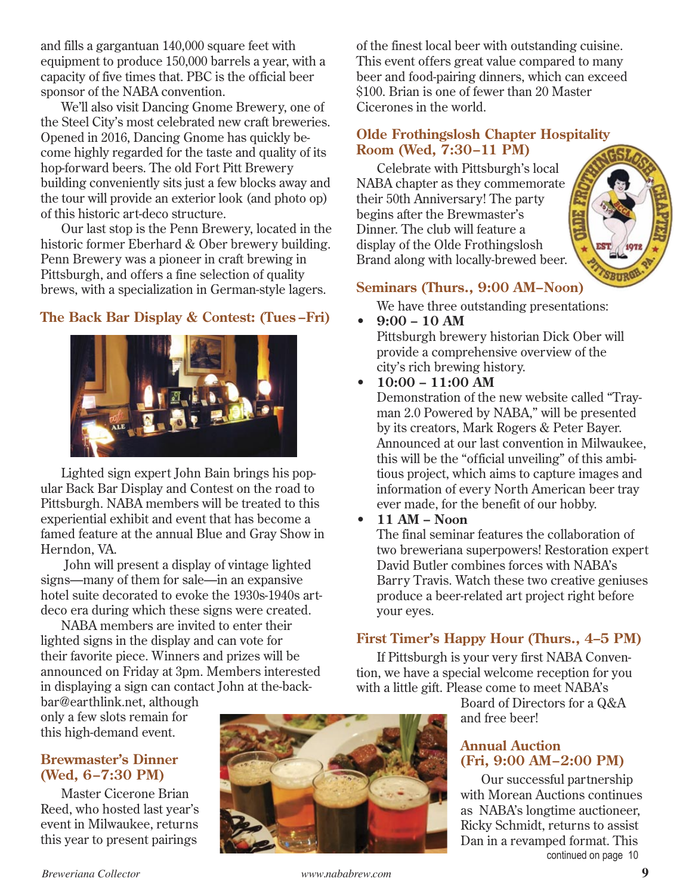and fills a gargantuan 140,000 square feet with equipment to produce 150,000 barrels a year, with a capacity of five times that. PBC is the official beer sponsor of the NABA convention.

We'll also visit Dancing Gnome Brewery, one of the Steel City's most celebrated new craft breweries. Opened in 2016, Dancing Gnome has quickly become highly regarded for the taste and quality of its hop-forward beers. The old Fort Pitt Brewery building conveniently sits just a few blocks away and the tour will provide an exterior look (and photo op) of this historic art-deco structure.

Our last stop is the Penn Brewery, located in the historic former Eberhard & Ober brewery building. Penn Brewery was a pioneer in craft brewing in Pittsburgh, and offers a fine selection of quality brews, with a specialization in German-style lagers.

## **The Back Bar Display & Contest: (Tues –Fri)**



Lighted sign expert John Bain brings his popular Back Bar Display and Contest on the road to Pittsburgh. NABA members will be treated to this experiential exhibit and event that has become a famed feature at the annual Blue and Gray Show in Herndon, VA.

 John will present a display of vintage lighted signs—many of them for sale—in an expansive hotel suite decorated to evoke the 1930s-1940s artdeco era during which these signs were created.

NABA members are invited to enter their lighted signs in the display and can vote for their favorite piece. Winners and prizes will be announced on Friday at 3pm. Members interested in displaying a sign can contact John at the-back-

bar@earthlink.net, although only a few slots remain for this high-demand event.

#### **Brewmaster's Dinner (Wed, 6–7:30 PM)**

Master Cicerone Brian Reed, who hosted last year's event in Milwaukee, returns this year to present pairings



of the finest local beer with outstanding cuisine. This event offers great value compared to many beer and food-pairing dinners, which can exceed \$100. Brian is one of fewer than 20 Master Cicerones in the world.

## **Olde Frothingslosh Chapter Hospitality Room (Wed, 7:30–11 PM)**

Celebrate with Pittsburgh's local NABA chapter as they commemorate their 50th Anniversary! The party begins after the Brewmaster's Dinner. The club will feature a display of the Olde Frothingslosh Brand along with locally-brewed beer.



### **Seminars (Thurs., 9:00 AM–Noon)**

We have three outstanding presentations:

• **9:00 – 10 AM**

 Pittsburgh brewery historian Dick Ober will provide a comprehensive overview of the city's rich brewing history.

## • **10:00 – 11:00 AM**

 Demonstration of the new website called "Trayman 2.0 Powered by NABA," will be presented by its creators, Mark Rogers & Peter Bayer. Announced at our last convention in Milwaukee, this will be the "official unveiling" of this ambitious project, which aims to capture images and information of every North American beer tray ever made, for the benefit of our hobby.

• **11 AM – Noon**

 The final seminar features the collaboration of two breweriana superpowers! Restoration expert David Butler combines forces with NABA's Barry Travis. Watch these two creative geniuses produce a beer-related art project right before your eyes.

# **First Timer's Happy Hour (Thurs., 4–5 PM)**

If Pittsburgh is your very first NABA Convention, we have a special welcome reception for you with a little gift. Please come to meet NABA's

Board of Directors for a Q&A and free beer!

### **Annual Auction (Fri, 9:00 AM–2:00 PM)**

Our successful partnership with Morean Auctions continues as NABA's longtime auctioneer, Ricky Schmidt, returns to assist Dan in a revamped format. This continued on page 10